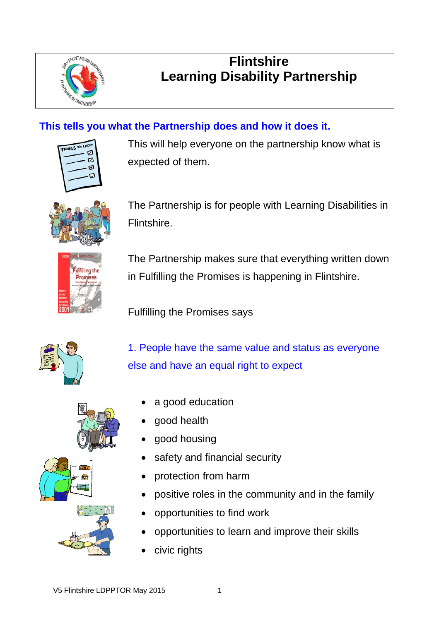

## **Flintshire Learning Disability Partnership**

### **This tells you what the Partnership does and how it does it.**

| <b>UNGS TO CA</b> |    |
|-------------------|----|
|                   | Z  |
|                   | 7  |
|                   | б۶ |
|                   |    |
|                   |    |
|                   |    |

This will help everyone on the partnership know what is expected of them.



The Partnership is for people with Learning Disabilities in Flintshire.



The Partnership makes sure that everything written down in Fulfilling the Promises is happening in Flintshire.

Fulfilling the Promises says



1. People have the same value and status as everyone else and have an equal right to expect

- a good education
- good health
- good housing
- safety and financial security
- protection from harm
- positive roles in the community and in the family
- opportunities to find work
- opportunities to learn and improve their skills
- civic rights

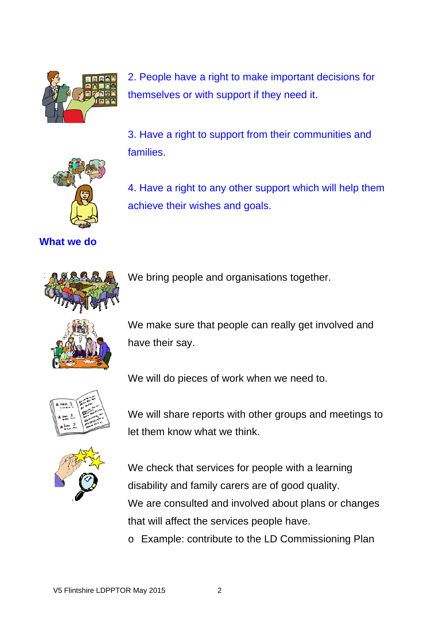

2. People have a right to make important decisions for themselves or with support if they need it.

3. Have a right to support from their communities and families.

4. Have a right to any other support which will help them



**What we do** 



We bring people and organisations together.

achieve their wishes and goals.



We make sure that people can really get involved and have their say.



We will do pieces of work when we need to.

We will share reports with other groups and meetings to let them know what we think.



We check that services for people with a learning disability and family carers are of good quality. We are consulted and involved about plans or changes that will affect the services people have.

o Example: contribute to the LD Commissioning Plan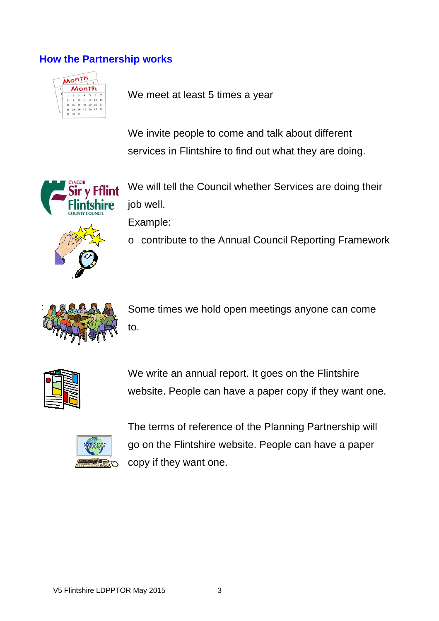#### **How the Partnership works**



We meet at least 5 times a year

 We invite people to come and talk about different services in Flintshire to find out what they are doing.



We will tell the Council whether Services are doing their job well.

Example:

o contribute to the Annual Council Reporting Framework



Some times we hold open meetings anyone can come to.



We write an annual report. It goes on the Flintshire website. People can have a paper copy if they want one.



The terms of reference of the Planning Partnership will go on the Flintshire website. People can have a paper copy if they want one.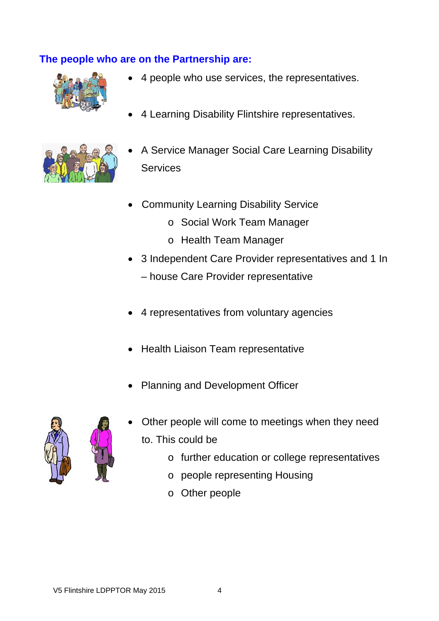#### **The people who are on the Partnership are:**



- 4 people who use services, the representatives.
- 4 Learning Disability Flintshire representatives.



- A Service Manager Social Care Learning Disability **Services**
- Community Learning Disability Service
	- o Social Work Team Manager
	- o Health Team Manager
- 3 Independent Care Provider representatives and 1 In – house Care Provider representative
- 4 representatives from voluntary agencies
- Health Liaison Team representative
- Planning and Development Officer



- Other people will come to meetings when they need to. This could be
	- o further education or college representatives
	- o people representing Housing
	- o Other people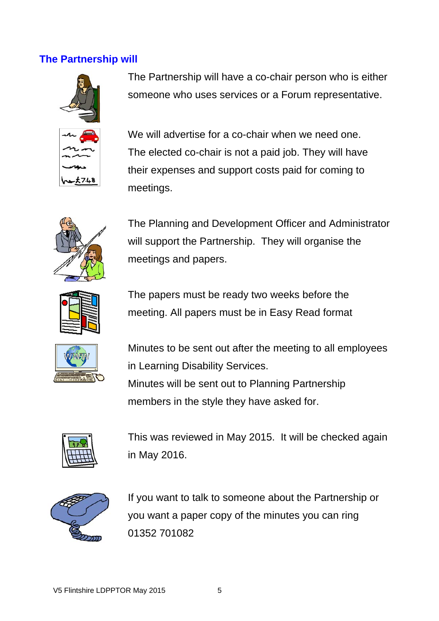#### **The Partnership will**



The Partnership will have a co-chair person who is either someone who uses services or a Forum representative.

We will advertise for a co-chair when we need one. The elected co-chair is not a paid job. They will have their expenses and support costs paid for coming to meetings.



The Planning and Development Officer and Administrator will support the Partnership. They will organise the meetings and papers.



The papers must be ready two weeks before the meeting. All papers must be in Easy Read format



Minutes to be sent out after the meeting to all employees in Learning Disability Services. Minutes will be sent out to Planning Partnership members in the style they have asked for.



This was reviewed in May 2015. It will be checked again in May 2016.



If you want to talk to someone about the Partnership or you want a paper copy of the minutes you can ring 01352 701082